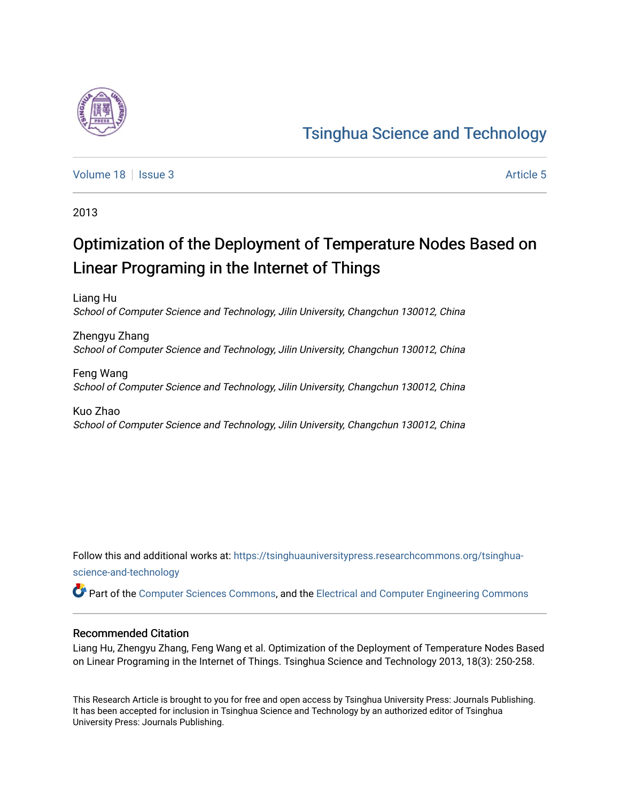

[Volume 18](https://tsinghuauniversitypress.researchcommons.org/tsinghua-science-and-technology/vol18) | [Issue 3](https://tsinghuauniversitypress.researchcommons.org/tsinghua-science-and-technology/vol18/iss3) Article 5

2013

# Optimization of the Deployment of Temperature Nodes Based on Linear Programing in the Internet of Things

Liang Hu School of Computer Science and Technology, Jilin University, Changchun 130012, China

Zhengyu Zhang School of Computer Science and Technology, Jilin University, Changchun 130012, China

Feng Wang School of Computer Science and Technology, Jilin University, Changchun 130012, China

Kuo Zhao School of Computer Science and Technology, Jilin University, Changchun 130012, China

Follow this and additional works at: [https://tsinghuauniversitypress.researchcommons.org/tsinghua](https://tsinghuauniversitypress.researchcommons.org/tsinghua-science-and-technology?utm_source=tsinghuauniversitypress.researchcommons.org%2Ftsinghua-science-and-technology%2Fvol18%2Fiss3%2F5&utm_medium=PDF&utm_campaign=PDFCoverPages)[science-and-technology](https://tsinghuauniversitypress.researchcommons.org/tsinghua-science-and-technology?utm_source=tsinghuauniversitypress.researchcommons.org%2Ftsinghua-science-and-technology%2Fvol18%2Fiss3%2F5&utm_medium=PDF&utm_campaign=PDFCoverPages)

Part of the [Computer Sciences Commons](http://network.bepress.com/hgg/discipline/142?utm_source=tsinghuauniversitypress.researchcommons.org%2Ftsinghua-science-and-technology%2Fvol18%2Fiss3%2F5&utm_medium=PDF&utm_campaign=PDFCoverPages), and the [Electrical and Computer Engineering Commons](http://network.bepress.com/hgg/discipline/266?utm_source=tsinghuauniversitypress.researchcommons.org%2Ftsinghua-science-and-technology%2Fvol18%2Fiss3%2F5&utm_medium=PDF&utm_campaign=PDFCoverPages)

### Recommended Citation

Liang Hu, Zhengyu Zhang, Feng Wang et al. Optimization of the Deployment of Temperature Nodes Based on Linear Programing in the Internet of Things. Tsinghua Science and Technology 2013, 18(3): 250-258.

This Research Article is brought to you for free and open access by Tsinghua University Press: Journals Publishing. It has been accepted for inclusion in Tsinghua Science and Technology by an authorized editor of Tsinghua University Press: Journals Publishing.

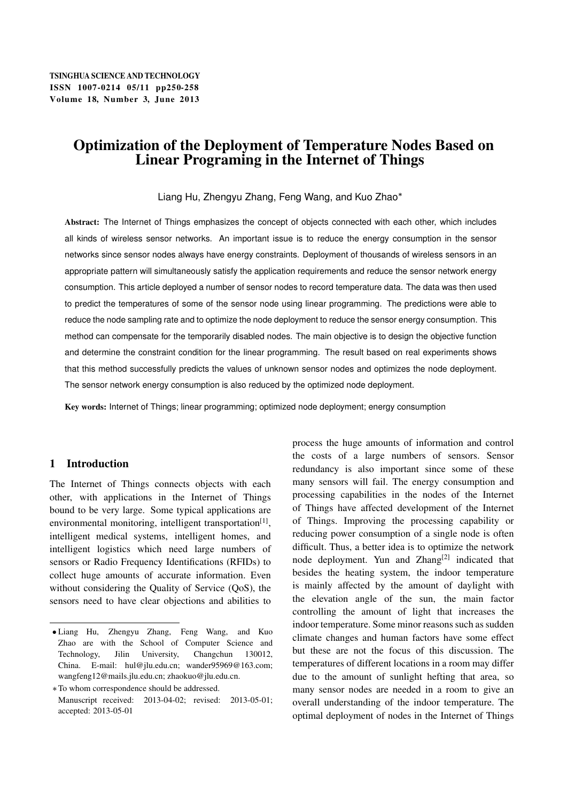## Optimization of the Deployment of Temperature Nodes Based on Linear Programing in the Internet of Things

Liang Hu, Zhengyu Zhang, Feng Wang, and Kuo Zhao

Abstract: The Internet of Things emphasizes the concept of objects connected with each other, which includes all kinds of wireless sensor networks. An important issue is to reduce the energy consumption in the sensor networks since sensor nodes always have energy constraints. Deployment of thousands of wireless sensors in an appropriate pattern will simultaneously satisfy the application requirements and reduce the sensor network energy consumption. This article deployed a number of sensor nodes to record temperature data. The data was then used to predict the temperatures of some of the sensor node using linear programming. The predictions were able to reduce the node sampling rate and to optimize the node deployment to reduce the sensor energy consumption. This method can compensate for the temporarily disabled nodes. The main objective is to design the objective function and determine the constraint condition for the linear programming. The result based on real experiments shows that this method successfully predicts the values of unknown sensor nodes and optimizes the node deployment. The sensor network energy consumption is also reduced by the optimized node deployment.

Key words: Internet of Things; linear programming; optimized node deployment; energy consumption

### 1 Introduction

The Internet of Things connects objects with each other, with applications in the Internet of Things bound to be very large. Some typical applications are environmental monitoring, intelligent transportation<sup>[1]</sup>, intelligent medical systems, intelligent homes, and intelligent logistics which need large numbers of sensors or Radio Frequency Identifications (RFIDs) to collect huge amounts of accurate information. Even without considering the Quality of Service (QoS), the sensors need to have clear objections and abilities to process the huge amounts of information and control the costs of a large numbers of sensors. Sensor redundancy is also important since some of these many sensors will fail. The energy consumption and processing capabilities in the nodes of the Internet of Things have affected development of the Internet of Things. Improving the processing capability or reducing power consumption of a single node is often difficult. Thus, a better idea is to optimize the network node deployment. Yun and  $Zhang^{[2]}$  indicated that besides the heating system, the indoor temperature is mainly affected by the amount of daylight with the elevation angle of the sun, the main factor controlling the amount of light that increases the indoor temperature. Some minor reasons such as sudden climate changes and human factors have some effect but these are not the focus of this discussion. The temperatures of different locations in a room may differ due to the amount of sunlight hefting that area, so many sensor nodes are needed in a room to give an overall understanding of the indoor temperature. The optimal deployment of nodes in the Internet of Things

Liang Hu, Zhengyu Zhang, Feng Wang, and Kuo Zhao are with the School of Computer Science and Technology, Jilin University, Changchun 130012, China. E-mail: hul@jlu.edu.cn; wander95969@163.com; wangfeng12@mails.jlu.edu.cn; zhaokuo@jlu.edu.cn.

To whom correspondence should be addressed. Manuscript received: 2013-04-02; revised: 2013-05-01; accepted: 2013-05-01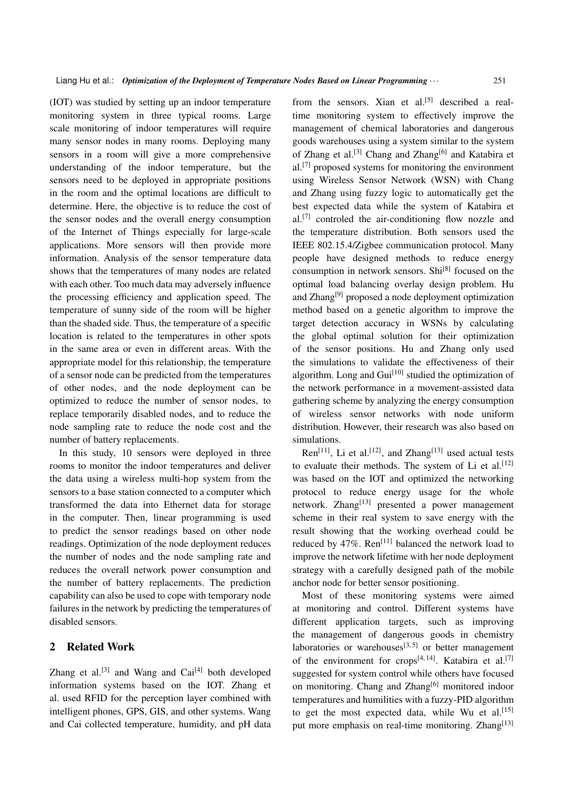(IOT) was studied by setting up an indoor temperature monitoring system in three typical rooms. Large scale monitoring of indoor temperatures will require many sensor nodes in many rooms. Deploying many sensors in a room will give a more comprehensive understanding of the indoor temperature, but the sensors need to be deployed in appropriate positions in the room and the optimal locations are difficult to determine. Here, the objective is to reduce the cost of the sensor nodes and the overall energy consumption of the Internet of Things especially for large-scale applications. More sensors will then provide more information. Analysis of the sensor temperature data shows that the temperatures of many nodes are related with each other. Too much data may adversely influence the processing efficiency and application speed. The temperature of sunny side of the room will be higher than the shaded side. Thus, the temperature of a specific location is related to the temperatures in other spots in the same area or even in different areas. With the appropriate model for this relationship, the temperature of a sensor node can be predicted from the temperatures of other nodes, and the node deployment can be optimized to reduce the number of sensor nodes, to replace temporarily disabled nodes, and to reduce the node sampling rate to reduce the node cost and the number of battery replacements.

In this study, 10 sensors were deployed in three rooms to monitor the indoor temperatures and deliver the data using a wireless multi-hop system from the sensors to a base station connected to a computer which transformed the data into Ethernet data for storage in the computer. Then, linear programming is used to predict the sensor readings based on other node readings. Optimization of the node deployment reduces the number of nodes and the node sampling rate and reduces the overall network power consumption and the number of battery replacements. The prediction capability can also be used to cope with temporary node failures in the network by predicting the temperatures of disabled sensors.

### 2 Related Work

Zhang et al.<sup>[3]</sup> and Wang and  $\text{Cai}^{[4]}$  both developed information systems based on the IOT. Zhang et al. used RFID for the perception layer combined with intelligent phones, GPS, GIS, and other systems. Wang and Cai collected temperature, humidity, and pH data

from the sensors. Xian et al.<sup>[5]</sup> described a realtime monitoring system to effectively improve the management of chemical laboratories and dangerous goods warehouses using a system similar to the system of Zhang et al.<sup>[3]</sup> Chang and Zhang<sup>[6]</sup> and Katabira et al.[7] proposed systems for monitoring the environment using Wireless Sensor Network (WSN) with Chang and Zhang using fuzzy logic to automatically get the best expected data while the system of Katabira et al.[7] controled the air-conditioning flow nozzle and the temperature distribution. Both sensors used the IEEE 802.15.4/Zigbee communication protocol. Many people have designed methods to reduce energy consumption in network sensors. Shi[8] focused on the optimal load balancing overlay design problem. Hu and Zhang[9] proposed a node deployment optimization method based on a genetic algorithm to improve the target detection accuracy in WSNs by calculating the global optimal solution for their optimization of the sensor positions. Hu and Zhang only used the simulations to validate the effectiveness of their algorithm. Long and Gui<sup>[10]</sup> studied the optimization of the network performance in a movement-assisted data gathering scheme by analyzing the energy consumption of wireless sensor networks with node uniform distribution. However, their research was also based on simulations.

Ren<sup>[11]</sup>, Li et al.<sup>[12]</sup>, and Zhang<sup>[13]</sup> used actual tests to evaluate their methods. The system of Li et al.<sup>[12]</sup> was based on the IOT and optimized the networking protocol to reduce energy usage for the whole network. Zhang<sup>[13]</sup> presented a power management scheme in their real system to save energy with the result showing that the working overhead could be reduced by 47%.  $\text{Ren}^{[11]}$  balanced the network load to improve the network lifetime with her node deployment strategy with a carefully designed path of the mobile anchor node for better sensor positioning.

Most of these monitoring systems were aimed at monitoring and control. Different systems have different application targets, such as improving the management of dangerous goods in chemistry laboratories or warehouses $[3, 5]$  or better management of the environment for crops<sup>[4, 14]</sup>. Katabira et al.<sup>[7]</sup> suggested for system control while others have focused on monitoring. Chang and Zhang<sup>[6]</sup> monitored indoor temperatures and humilities with a fuzzy-PID algorithm to get the most expected data, while Wu et al.  $[15]$ put more emphasis on real-time monitoring. Zhang<sup>[13]</sup>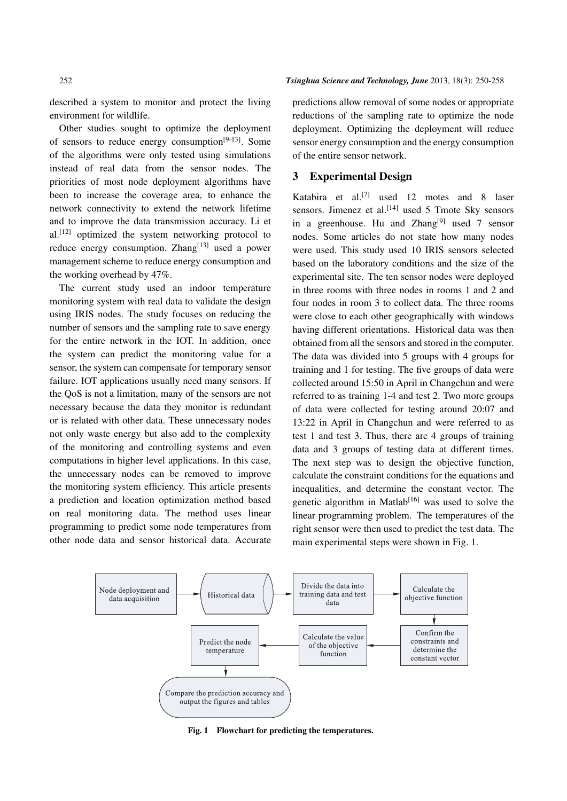described a system to monitor and protect the living environment for wildlife.

Other studies sought to optimize the deployment of sensors to reduce energy consumption $[9-13]$ . Some of the algorithms were only tested using simulations instead of real data from the sensor nodes. The priorities of most node deployment algorithms have been to increase the coverage area, to enhance the network connectivity to extend the network lifetime and to improve the data transmission accuracy. Li et  $al.<sup>[12]</sup>$  optimized the system networking protocol to reduce energy consumption. Zhang<sup>[13]</sup> used a power management scheme to reduce energy consumption and the working overhead by 47%.

The current study used an indoor temperature monitoring system with real data to validate the design using IRIS nodes. The study focuses on reducing the number of sensors and the sampling rate to save energy for the entire network in the IOT. In addition, once the system can predict the monitoring value for a sensor, the system can compensate for temporary sensor failure. IOT applications usually need many sensors. If the QoS is not a limitation, many of the sensors are not necessary because the data they monitor is redundant or is related with other data. These unnecessary nodes not only waste energy but also add to the complexity of the monitoring and controlling systems and even computations in higher level applications. In this case, the unnecessary nodes can be removed to improve the monitoring system efficiency. This article presents a prediction and location optimization method based on real monitoring data. The method uses linear programming to predict some node temperatures from other node data and sensor historical data. Accurate predictions allow removal of some nodes or appropriate reductions of the sampling rate to optimize the node deployment. Optimizing the deployment will reduce sensor energy consumption and the energy consumption of the entire sensor network.

#### 3 Experimental Design

Katabira et al.<sup>[7]</sup> used 12 motes and 8 laser sensors. Jimenez et al.<sup>[14]</sup> used 5 Tmote Sky sensors in a greenhouse. Hu and Zhang<sup>[9]</sup> used 7 sensor nodes. Some articles do not state how many nodes were used. This study used 10 IRIS sensors selected based on the laboratory conditions and the size of the experimental site. The ten sensor nodes were deployed in three rooms with three nodes in rooms 1 and 2 and four nodes in room 3 to collect data. The three rooms were close to each other geographically with windows having different orientations. Historical data was then obtained from all the sensors and stored in the computer. The data was divided into 5 groups with 4 groups for training and 1 for testing. The five groups of data were collected around 15:50 in April in Changchun and were referred to as training 1-4 and test 2. Two more groups of data were collected for testing around 20:07 and 13:22 in April in Changchun and were referred to as test 1 and test 3. Thus, there are 4 groups of training data and 3 groups of testing data at different times. The next step was to design the objective function, calculate the constraint conditions for the equations and inequalities, and determine the constant vector. The genetic algorithm in Matlab<sup>[16]</sup> was used to solve the linear programming problem. The temperatures of the right sensor were then used to predict the test data. The main experimental steps were shown in Fig. 1.



Fig. 1 Flowchart for predicting the temperatures.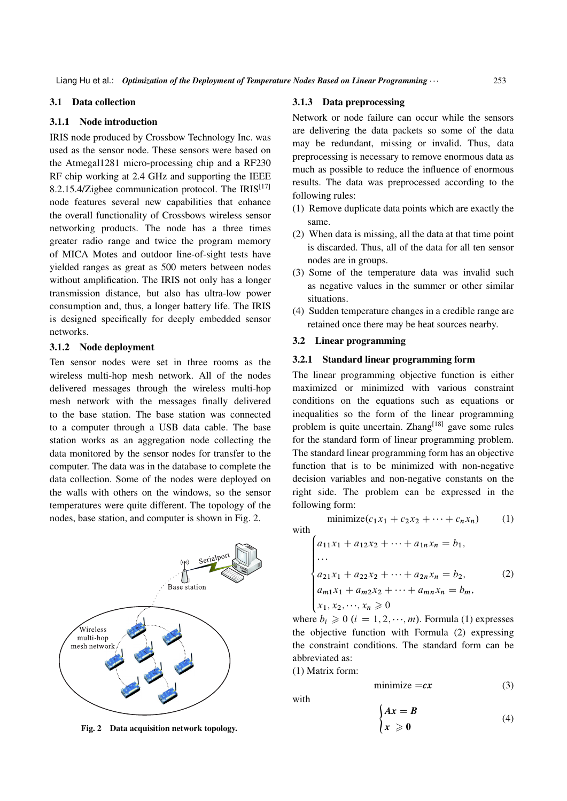#### 3.1 Data collection

#### 3.1.1 Node introduction

IRIS node produced by Crossbow Technology Inc. was used as the sensor node. These sensors were based on the Atmegal1281 micro-processing chip and a RF230 RF chip working at 2.4 GHz and supporting the IEEE 8.2.15.4/Zigbee communication protocol. The IRIS $[17]$ node features several new capabilities that enhance the overall functionality of Crossbows wireless sensor networking products. The node has a three times greater radio range and twice the program memory of MICA Motes and outdoor line-of-sight tests have yielded ranges as great as 500 meters between nodes without amplification. The IRIS not only has a longer transmission distance, but also has ultra-low power consumption and, thus, a longer battery life. The IRIS is designed specifically for deeply embedded sensor networks.

#### 3.1.2 Node deployment

Ten sensor nodes were set in three rooms as the wireless multi-hop mesh network. All of the nodes delivered messages through the wireless multi-hop mesh network with the messages finally delivered to the base station. The base station was connected to a computer through a USB data cable. The base station works as an aggregation node collecting the data monitored by the sensor nodes for transfer to the computer. The data was in the database to complete the data collection. Some of the nodes were deployed on the walls with others on the windows, so the sensor temperatures were quite different. The topology of the nodes, base station, and computer is shown in Fig. 2.



Fig. 2 Data acquisition network topology.

#### 3.1.3 Data preprocessing

Network or node failure can occur while the sensors are delivering the data packets so some of the data may be redundant, missing or invalid. Thus, data preprocessing is necessary to remove enormous data as much as possible to reduce the influence of enormous results. The data was preprocessed according to the following rules:

- (1) Remove duplicate data points which are exactly the same.
- (2) When data is missing, all the data at that time point is discarded. Thus, all of the data for all ten sensor nodes are in groups.
- (3) Some of the temperature data was invalid such as negative values in the summer or other similar situations.
- (4) Sudden temperature changes in a credible range are retained once there may be heat sources nearby.

#### 3.2 Linear programming

#### 3.2.1 Standard linear programming form

The linear programming objective function is either maximized or minimized with various constraint conditions on the equations such as equations or inequalities so the form of the linear programming problem is quite uncertain. Zhang<sup>[18]</sup> gave some rules for the standard form of linear programming problem. The standard linear programming form has an objective function that is to be minimized with non-negative decision variables and non-negative constants on the right side. The problem can be expressed in the following form:

with

$$
\begin{cases}\na_{11}x_1 + a_{12}x_2 + \dots + a_{1n}x_n = b_1, \\
\dots \\
a_{21}x_1 + a_{22}x_2 + \dots + a_{2n}x_n = b_2, \\
a_{m1}x_1 + a_{m2}x_2 + \dots + a_{mn}x_n = b_m, \\
x_1, x_2, \dots, x_n \ge 0\n\end{cases}
$$
\n(2)

minimize $(c_1x_1 + c_2x_2 + \cdots + c_nx_n)$  (1)

where  $b_i \geq 0$   $(i = 1, 2, \dots, m)$ . Formula (1) expresses the objective function with Formula (2) expressing the constraint conditions. The standard form can be abbreviated as:

#### (1) Matrix form:

$$
minimize = cx
$$
 (3)

with

$$
\begin{cases} Ax = B \\ x \ge 0 \end{cases}
$$
 (4)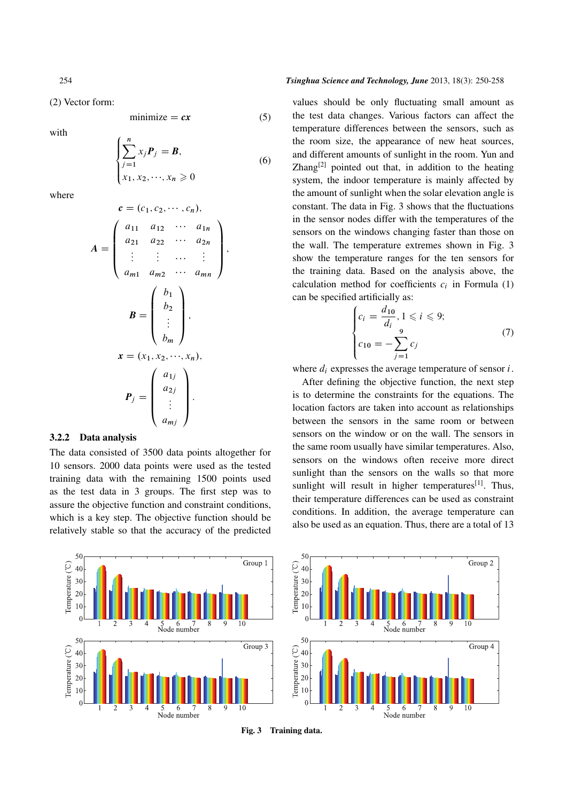(2) Vector form:

minimize  $= cx$  (5)

with

$$
\begin{cases} \sum_{j=1}^{n} x_j \mathbf{P}_j = \mathbf{B}, \\ x_1, x_2, \dots, x_n \ge 0 \end{cases}
$$
 (6)

where

$$
c = (c_1, c_2, \dots, c_n),
$$
  
\n
$$
A = \begin{pmatrix} a_{11} & a_{12} & \cdots & a_{1n} \\ a_{21} & a_{22} & \cdots & a_{2n} \\ \vdots & \vdots & \cdots & \vdots \\ a_{m1} & a_{m2} & \cdots & a_{mn} \end{pmatrix},
$$
  
\n
$$
B = \begin{pmatrix} b_1 \\ b_2 \\ \vdots \\ b_m \end{pmatrix},
$$
  
\n
$$
x = (x_1, x_2, \dots, x_n),
$$
  
\n
$$
P_j = \begin{pmatrix} a_{1j} \\ a_{2j} \\ \vdots \\ a_{mj} \end{pmatrix}.
$$

#### 3.2.2 Data analysis

The data consisted of 3500 data points altogether for 10 sensors. 2000 data points were used as the tested training data with the remaining 1500 points used as the test data in 3 groups. The first step was to assure the objective function and constraint conditions, which is a key step. The objective function should be relatively stable so that the accuracy of the predicted

#### 254 *Tsinghua Science and Technology, June* 2013, 18(3): 250-258

values should be only fluctuating small amount as the test data changes. Various factors can affect the temperature differences between the sensors, such as the room size, the appearance of new heat sources, and different amounts of sunlight in the room. Yun and Zhang $[2]$  pointed out that, in addition to the heating system, the indoor temperature is mainly affected by the amount of sunlight when the solar elevation angle is constant. The data in Fig. 3 shows that the fluctuations in the sensor nodes differ with the temperatures of the sensors on the windows changing faster than those on the wall. The temperature extremes shown in Fig. 3 show the temperature ranges for the ten sensors for the training data. Based on the analysis above, the calculation method for coefficients  $c_i$  in Formula (1) can be specified artificially as:

$$
\begin{cases} c_i = \frac{d_{10}}{d_i}, 1 \leq i \leq 9; \\ c_{10} = -\sum_{j=1}^{9} c_j \end{cases} \tag{7}
$$

where  $d_i$  expresses the average temperature of sensor  $i$ .

After defining the objective function, the next step is to determine the constraints for the equations. The location factors are taken into account as relationships between the sensors in the same room or between sensors on the window or on the wall. The sensors in the same room usually have similar temperatures. Also, sensors on the windows often receive more direct sunlight than the sensors on the walls so that more sunlight will result in higher temperatures $[1]$ . Thus, their temperature differences can be used as constraint conditions. In addition, the average temperature can also be used as an equation. Thus, there are a total of 13



Fig. 3 Training data.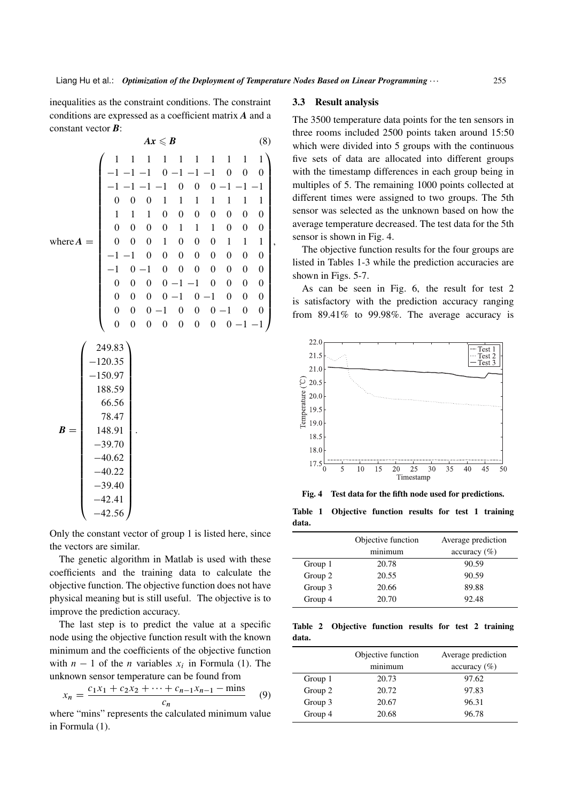$\lambda$  $\mathbf{I}$  $\mathbf{I}$  $\mathbf{I}$  $\mathbf{I}$  $\mathbf{I}$  $\mathbf{I}$  $\mathbf{I}$  $\mathbf{I}$  $\mathbf{I}$  $\mathbf{I}$  $\mathbf{I}$  $\mathbf{I}$  $\mathbf{I}$  $\mathbf{I}$  $\mathbf{I}$  $\mathbf{I}$  $\mathbf{I}$  $\mathbf{I}$  $\mathbf{I}$  $\mathbf{I}$  $\mathbf{I}$  $\mathbf{I}$  $\mathbf{I}$  $\mathbf{I}$ A

,

inequalities as the constraint conditions. The constraint conditions are expressed as a coefficient matrix *A* and a constant vector *B*:

$$
Ax \leqslant B \tag{8}
$$

$$
\text{where } A = \begin{pmatrix}\n1 & 1 & 1 & 1 & 1 & 1 & 1 & 1 & 1 \\
-1 & -1 & -1 & 0 & -1 & -1 & -1 & 0 & 0 & 0 \\
-1 & -1 & -1 & -1 & 0 & 0 & 0 & -1 & -1 & -1 \\
0 & 0 & 0 & 1 & 1 & 1 & 1 & 1 & 1 & 1 & 1 \\
1 & 1 & 1 & 0 & 0 & 0 & 0 & 0 & 0 & 0 \\
0 & 0 & 0 & 1 & 1 & 1 & 0 & 0 & 0 & 0 \\
0 & 0 & 0 & 1 & 0 & 0 & 0 & 0 & 0 & 0 \\
-1 & -1 & 0 & 0 & 0 & 0 & 0 & 0 & 0 & 0 \\
-1 & 0 & -1 & 0 & 0 & 0 & 0 & 0 & 0 & 0 \\
0 & 0 & 0 & -1 & -1 & 0 & 0 & 0 & 0 & 0 \\
0 & 0 & 0 & -1 & 0 & 0 & 0 & 0 & -1 & -1 \\
0 & 0 & 0 & 0 & 0 & 0 & 0 & 0 & 0 & -1 & -1\n\end{pmatrix}
$$
\n
$$
\begin{pmatrix}\n249.83 \\
-120.35 \\
-150.97 \\
188.59 \\
-45.47 \\
148.91 \\
-39.70 \\
-40.62 \\
-40.22 \\
-39.40 \\
-42.41 \\
-42.56\n\end{pmatrix}.
$$

Only the constant vector of group 1 is listed here, since the vectors are similar.

The genetic algorithm in Matlab is used with these coefficients and the training data to calculate the objective function. The objective function does not have physical meaning but is still useful. The objective is to improve the prediction accuracy.

The last step is to predict the value at a specific node using the objective function result with the known minimum and the coefficients of the objective function with  $n-1$  of the *n* variables  $x_i$  in Formula (1). The unknown sensor temperature can be found from

$$
x_n = \frac{c_1 x_1 + c_2 x_2 + \dots + c_{n-1} x_{n-1} - \text{mins}}{c_n} \tag{9}
$$

where "mins" represents the calculated minimum value in Formula (1).

#### 3.3 Result analysis

The 3500 temperature data points for the ten sensors in three rooms included 2500 points taken around 15:50 which were divided into 5 groups with the continuous five sets of data are allocated into different groups with the timestamp differences in each group being in multiples of 5. The remaining 1000 points collected at different times were assigned to two groups. The 5th sensor was selected as the unknown based on how the average temperature decreased. The test data for the 5th sensor is shown in Fig. 4.

The objective function results for the four groups are listed in Tables 1-3 while the prediction accuracies are shown in Figs. 5-7.

As can be seen in Fig. 6, the result for test 2 is satisfactory with the prediction accuracy ranging from 89.41% to 99.98%. The average accuracy is



Fig. 4 Test data for the fifth node used for predictions.

|       | Table 1 Objective function results for test 1 training |  |  |  |
|-------|--------------------------------------------------------|--|--|--|
| data. |                                                        |  |  |  |

|         | Objective function | Average prediction      |
|---------|--------------------|-------------------------|
|         | minimum            | $\alpha$ ccuracy $(\%)$ |
| Group 1 | 20.78              | 90.59                   |
| Group 2 | 20.55              | 90.59                   |
| Group 3 | 20.66              | 89.88                   |
| Group 4 | 20.70              | 92.48                   |
|         |                    |                         |

Table 2 Objective function results for test 2 training data.

|         | Objective function | Average prediction |  |  |
|---------|--------------------|--------------------|--|--|
|         | minimum            | $accuracy (\%)$    |  |  |
| Group 1 | 20.73              | 97.62              |  |  |
| Group 2 | 20.72              | 97.83              |  |  |
| Group 3 | 20.67              | 96.31              |  |  |
| Group 4 | 20.68              | 96.78              |  |  |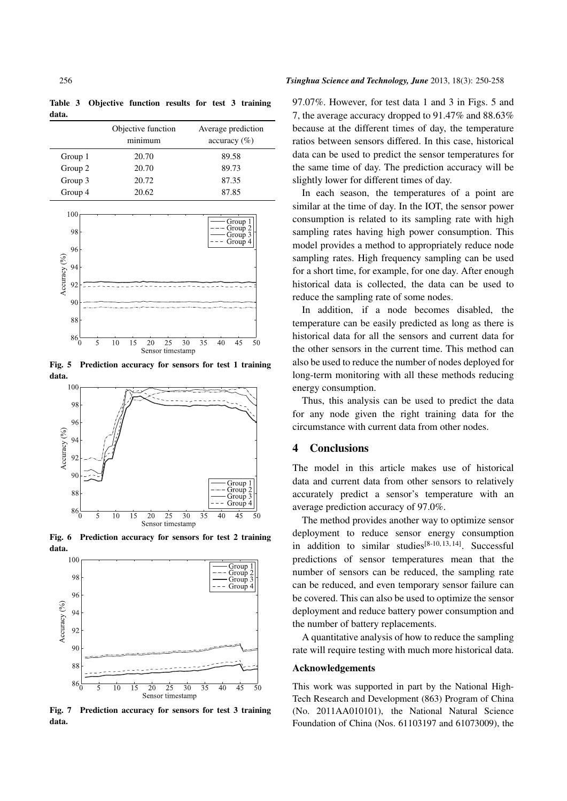Table 3 Objective function results for test 3 training data.

|         | Objective function<br>minimum | Average prediction<br>$\alpha$ ccuracy $(\%)$ |
|---------|-------------------------------|-----------------------------------------------|
| Group 1 | 20.70                         | 89.58                                         |
| Group 2 | 20.70                         | 89.73                                         |
| Group 3 | 20.72                         | 87.35                                         |
| Group 4 | 20.62                         | 87.85                                         |



Fig. 5 Prediction accuracy for sensors for test 1 training data.



Fig. 6 Prediction accuracy for sensors for test 2 training data.



Fig. 7 Prediction accuracy for sensors for test 3 training data.

#### 256 *Tsinghua Science and Technology, June* 2013, 18(3): 250-258

97.07%. However, for test data 1 and 3 in Figs. 5 and 7, the average accuracy dropped to 91.47% and 88.63% because at the different times of day, the temperature ratios between sensors differed. In this case, historical data can be used to predict the sensor temperatures for the same time of day. The prediction accuracy will be slightly lower for different times of day.

In each season, the temperatures of a point are similar at the time of day. In the IOT, the sensor power consumption is related to its sampling rate with high sampling rates having high power consumption. This model provides a method to appropriately reduce node sampling rates. High frequency sampling can be used for a short time, for example, for one day. After enough historical data is collected, the data can be used to reduce the sampling rate of some nodes.

In addition, if a node becomes disabled, the temperature can be easily predicted as long as there is historical data for all the sensors and current data for the other sensors in the current time. This method can also be used to reduce the number of nodes deployed for long-term monitoring with all these methods reducing energy consumption.

Thus, this analysis can be used to predict the data for any node given the right training data for the circumstance with current data from other nodes.

#### 4 Conclusions

The model in this article makes use of historical data and current data from other sensors to relatively accurately predict a sensor's temperature with an average prediction accuracy of 97.0%.

The method provides another way to optimize sensor deployment to reduce sensor energy consumption in addition to similar studies<sup>[8-10, 13, 14]</sup>. Successful predictions of sensor temperatures mean that the number of sensors can be reduced, the sampling rate can be reduced, and even temporary sensor failure can be covered. This can also be used to optimize the sensor deployment and reduce battery power consumption and the number of battery replacements.

A quantitative analysis of how to reduce the sampling rate will require testing with much more historical data.

#### Acknowledgements

This work was supported in part by the National High-Tech Research and Development (863) Program of China (No. 2011AA010101), the National Natural Science Foundation of China (Nos. 61103197 and 61073009), the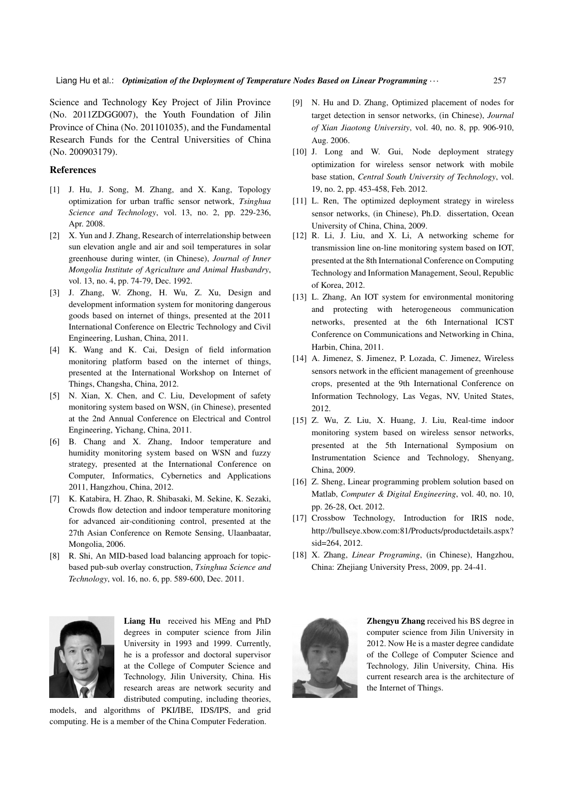Science and Technology Key Project of Jilin Province (No. 2011ZDGG007), the Youth Foundation of Jilin Province of China (No. 201101035), and the Fundamental Research Funds for the Central Universities of China (No. 200903179).

#### References

- [1] J. Hu, J. Song, M. Zhang, and X. Kang, Topology optimization for urban traffic sensor network, *Tsinghua Science and Technology*, vol. 13, no. 2, pp. 229-236, Apr. 2008.
- [2] X. Yun and J. Zhang, Research of interrelationship between sun elevation angle and air and soil temperatures in solar greenhouse during winter, (in Chinese), *Journal of Inner Mongolia Institute of Agriculture and Animal Husbandry*, vol. 13, no. 4, pp. 74-79, Dec. 1992.
- [3] J. Zhang, W. Zhong, H. Wu, Z. Xu, Design and development information system for monitoring dangerous goods based on internet of things, presented at the 2011 International Conference on Electric Technology and Civil Engineering, Lushan, China, 2011.
- [4] K. Wang and K. Cai, Design of field information monitoring platform based on the internet of things, presented at the International Workshop on Internet of Things, Changsha, China, 2012.
- [5] N. Xian, X. Chen, and C. Liu, Development of safety monitoring system based on WSN, (in Chinese), presented at the 2nd Annual Conference on Electrical and Control Engineering, Yichang, China, 2011.
- [6] B. Chang and X. Zhang, Indoor temperature and humidity monitoring system based on WSN and fuzzy strategy, presented at the International Conference on Computer, Informatics, Cybernetics and Applications 2011, Hangzhou, China, 2012.
- [7] K. Katabira, H. Zhao, R. Shibasaki, M. Sekine, K. Sezaki, Crowds flow detection and indoor temperature monitoring for advanced air-conditioning control, presented at the 27th Asian Conference on Remote Sensing, Ulaanbaatar, Mongolia, 2006.
- [8] R. Shi, An MID-based load balancing approach for topicbased pub-sub overlay construction, *Tsinghua Science and Technology*, vol. 16, no. 6, pp. 589-600, Dec. 2011.



Liang Hu received his MEng and PhD degrees in computer science from Jilin University in 1993 and 1999. Currently, he is a professor and doctoral supervisor at the College of Computer Science and Technology, Jilin University, China. His research areas are network security and distributed computing, including theories,

models, and algorithms of PKI/IBE, IDS/IPS, and grid computing. He is a member of the China Computer Federation.

- [9] N. Hu and D. Zhang, Optimized placement of nodes for target detection in sensor networks, (in Chinese), *Journal of Xian Jiaotong University*, vol. 40, no. 8, pp. 906-910, Aug. 2006.
- [10] J. Long and W. Gui, Node deployment strategy optimization for wireless sensor network with mobile base station, *Central South University of Technology*, vol. 19, no. 2, pp. 453-458, Feb. 2012.
- [11] L. Ren, The optimized deployment strategy in wireless sensor networks, (in Chinese), Ph.D. dissertation, Ocean University of China, China, 2009.
- [12] R. Li, J. Liu, and X. Li, A networking scheme for transmission line on-line monitoring system based on IOT, presented at the 8th International Conference on Computing Technology and Information Management, Seoul, Republic of Korea, 2012.
- [13] L. Zhang, An IOT system for environmental monitoring and protecting with heterogeneous communication networks, presented at the 6th International ICST Conference on Communications and Networking in China, Harbin, China, 2011.
- [14] A. Jimenez, S. Jimenez, P. Lozada, C. Jimenez, Wireless sensors network in the efficient management of greenhouse crops, presented at the 9th International Conference on Information Technology, Las Vegas, NV, United States, 2012.
- [15] Z. Wu, Z. Liu, X. Huang, J. Liu, Real-time indoor monitoring system based on wireless sensor networks, presented at the 5th International Symposium on Instrumentation Science and Technology, Shenyang, China, 2009.
- [16] Z. Sheng, Linear programming problem solution based on Matlab, *Computer & Digital Engineering*, vol. 40, no. 10, pp. 26-28, Oct. 2012.
- [17] Crossbow Technology, Introduction for IRIS node, http://bullseye.xbow.com:81/Products/productdetails.aspx? sid=264, 2012.
- [18] X. Zhang, *Linear Programing*, (in Chinese), Hangzhou, China: Zhejiang University Press, 2009, pp. 24-41.



Zhengyu Zhang received his BS degree in computer science from Jilin University in 2012. Now He is a master degree candidate of the College of Computer Science and Technology, Jilin University, China. His current research area is the architecture of the Internet of Things.